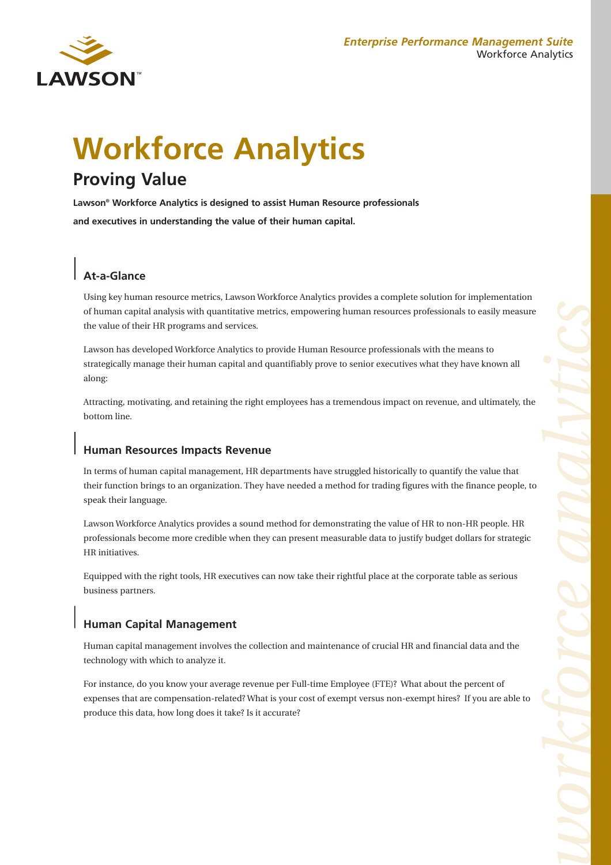#### *Enterprise Performance Management Suite* Workforce Analytics



# **Workforce Analytics Proving Value**

**Lawson® Workforce Analytics is designed to assist Human Resource professionals and executives in understanding the value of their human capital.** 

## **At-a-Glance**

Using key human resource metrics, Lawson Workforce Analytics provides a complete solution for implementation of human capital analysis with quantitative metrics, empowering human resources professionals to easily measure the value of their HR programs and services.

Lawson has developed Workforce Analytics to provide Human Resource professionals with the means to strategically manage their human capital and quantifiably prove to senior executives what they have known all along:

Attracting, motivating, and retaining the right employees has a tremendous impact on revenue, and ultimately, the bottom line.

#### **Human Resources Impacts Revenue**

In terms of human capital management, HR departments have struggled historically to quantify the value that their function brings to an organization. They have needed a method for trading figures with the finance people, to speak their language.

Lawson Workforce Analytics provides a sound method for demonstrating the value of HR to non-HR people. HR professionals become more credible when they can present measurable data to justify budget dollars for strategic HR initiatives.

Equipped with the right tools, HR executives can now take their rightful place at the corporate table as serious business partners.

## **Human Capital Management**

Human capital management involves the collection and maintenance of crucial HR and financial data and the technology with which to analyze it.

For instance, do you know your average revenue per Full-time Employee (FTE)? What about the percent of expenses that are compensation-related? What is your cost of exempt versus non-exempt hires? If you are able to produce this data, how long does it take? Is it accurate?